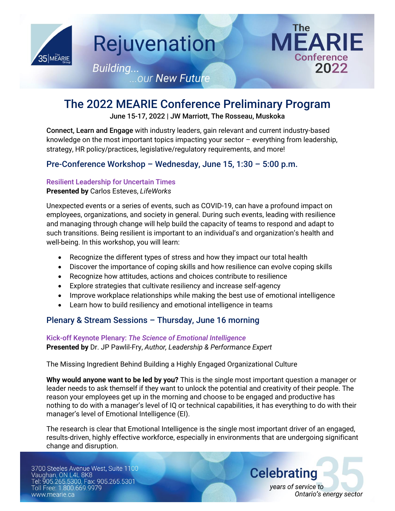



# The 2022 MEARIE Conference Preliminary Program

June 15-17, 2022 | JW Marriott, The Rosseau, Muskoka

Connect, Learn and Engage with industry leaders, gain relevant and current industry-based knowledge on the most important topics impacting your sector – everything from leadership, strategy, HR policy/practices, legislative/regulatory requirements, and more!

## Pre-Conference Workshop – Wednesday, June 15, 1:30 – 5:00 p.m.

**Rejuvenation** 

Building...<br>Our <mark>New Futur</mark>e...

#### Resilient Leadership for Uncertain Times **Presented by** Carlos Esteves, *LifeWorks*

Unexpected events or a series of events, such as COVID-19, can have a profound impact on employees, organizations, and society in general. During such events, leading with resilience and managing through change will help build the capacity of teams to respond and adapt to such transitions. Being resilient is important to an individual's and organization's health and well-being. In this workshop, you will learn:

- Recognize the different types of stress and how they impact our total health
- Discover the importance of coping skills and how resilience can evolve coping skills
- Recognize how attitudes, actions and choices contribute to resilience
- Explore strategies that cultivate resiliency and increase self-agency
- Improve workplace relationships while making the best use of emotional intelligence
- Learn how to build resiliency and emotional intelligence in teams

## Plenary & Stream Sessions – Thursday, June 16 morning

Kick-off Keynote Plenary: *The Science of Emotional Intelligence* **Presented by** Dr. JP Pawlil-Fry, *Author, Leadership & Performance Expert*

The Missing Ingredient Behind Building a Highly Engaged Organizational Culture

**Why would anyone want to be led by you?** This is the single most important question a manager or leader needs to ask themself if they want to unlock the potential and creativity of their people. The reason your employees get up in the morning and choose to be engaged and productive has nothing to do with a manager's level of IQ or technical capabilities, it has everything to do with their manager's level of Emotional Intelligence (EI).

The research is clear that Emotional Intelligence is the single most important driver of an engaged, results-driven, highly effective workforce, especially in environments that are undergoing significant change and disruption.

3700 Steeles Avenue West, Suite 1100 Vaughan, ON L4L 8K8 Tel: 905.265.5300, Fax: 905.265.5301<br>Tel: 905.265.5300, Fax: 905.265.5301 www.mearie.ca

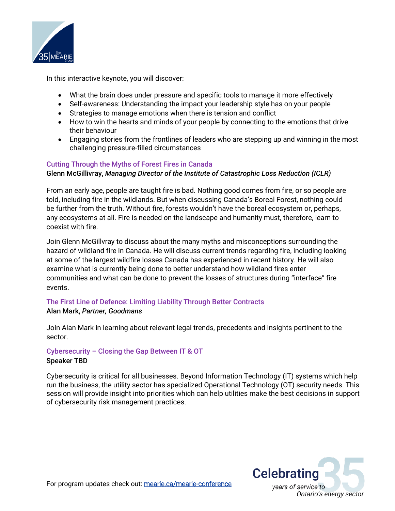

In this interactive keynote, you will discover:

- What the brain does under pressure and specific tools to manage it more effectively
- Self-awareness: Understanding the impact your leadership style has on your people
- Strategies to manage emotions when there is tension and conflict
- How to win the hearts and minds of your people by connecting to the emotions that drive their behaviour
- Engaging stories from the frontlines of leaders who are stepping up and winning in the most challenging pressure-filled circumstances

#### Cutting Through the Myths of Forest Fires in Canada

#### Glenn McGillivray, *Managing Director of the Institute of Catastrophic Loss Reduction (ICLR)*

From an early age, people are taught fire is bad. Nothing good comes from fire, or so people are told, including fire in the wildlands. But when discussing Canada's Boreal Forest, nothing could be further from the truth. Without fire, forests wouldn't have the boreal ecosystem or, perhaps, any ecosystems at all. Fire is needed on the landscape and humanity must, therefore, learn to coexist with fire.

Join Glenn McGillvray to discuss about the many myths and misconceptions surrounding the hazard of wildland fire in Canada. He will discuss current trends regarding fire, including looking at some of the largest wildfire losses Canada has experienced in recent history. He will also examine what is currently being done to better understand how wildland fires enter communities and what can be done to prevent the losses of structures during "interface" fire events.

#### The First Line of Defence: Limiting Liability Through Better Contracts Alan Mark, *Partner, Goodmans*

Join Alan Mark in learning about relevant legal trends, precedents and insights pertinent to the sector.

#### Cybersecurity – Closing the Gap Between IT & OT Speaker TBD

Cybersecurity is critical for all businesses. Beyond Information Technology (IT) systems which help run the business, the utility sector has specialized Operational Technology (OT) security needs. This session will provide insight into priorities which can help utilities make the best decisions in support of cybersecurity risk management practices.

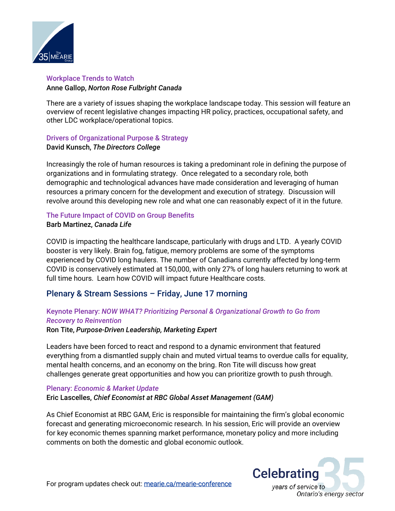

#### Workplace Trends to Watch Anne Gallop, *Norton Rose Fulbright Canada*

There are a variety of issues shaping the workplace landscape today. This session will feature an overview of recent legislative changes impacting HR policy, practices, occupational safety, and other LDC workplace/operational topics.

#### Drivers of Organizational Purpose & Strategy David Kunsch, *The Directors College*

Increasingly the role of human resources is taking a predominant role in defining the purpose of organizations and in formulating strategy. Once relegated to a secondary role, both demographic and technological advances have made consideration and leveraging of human resources a primary concern for the development and execution of strategy. Discussion will revolve around this developing new role and what one can reasonably expect of it in the future.

# The Future Impact of COVID on Group Benefits

#### Barb Martinez, *Canada Life*

COVID is impacting the healthcare landscape, particularly with drugs and LTD. A yearly COVID booster is very likely. Brain fog, fatigue, memory problems are some of the symptoms experienced by COVID long haulers. The number of Canadians currently affected by long-term COVID is conservatively estimated at 150,000, with only 27% of long haulers returning to work at full time hours. Learn how COVID will impact future Healthcare costs.

# Plenary & Stream Sessions – Friday, June 17 morning

#### Keynote Plenary: *NOW WHAT? Prioritizing Personal & Organizational Growth to Go from Recovery to Reinvention*

#### Ron Tite, *Purpose-Driven Leadership, Marketing Expert*

Leaders have been forced to react and respond to a dynamic environment that featured everything from a dismantled supply chain and muted virtual teams to overdue calls for equality, mental health concerns, and an economy on the bring. Ron Tite will discuss how great challenges generate great opportunities and how you can prioritize growth to push through.

## Plenary: *Economic & Market Update*

Eric Lascelles, *Chief Economist at RBC Global Asset Management (GAM)*

As Chief Economist at RBC GAM, Eric is responsible for maintaining the firm's global economic forecast and generating microeconomic research. In his session, Eric will provide an overview for key economic themes spanning market performance, monetary policy and more including comments on both the domestic and global economic outlook.